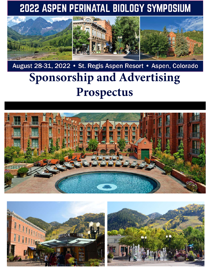# 2022 ASPEN PERINATAL BIOLOGY SYMPOSIUM



# August 28-31, 2022 • St. Regis Aspen Resort • Aspen, Colorado **Sponsorship and Advertising Prospectus**